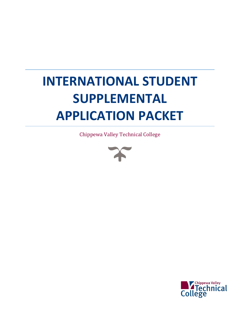# **INTERNATIONAL STUDENT SUPPLEMENTAL APPLICATION PACKET**

Chippewa Valley Technical College



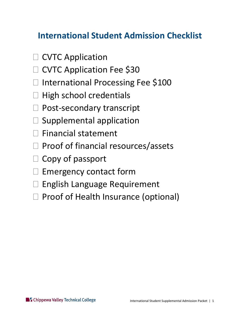### **International Student Admission Checklist**

- $\Box$  CVTC Application
- □ CVTC Application Fee \$30
- □ International Processing Fee \$100
- $\Box$  High school credentials
- □ Post-secondary transcript
- $\square$  Supplemental application
- $\Box$  Financial statement
- $\Box$  Proof of financial resources/assets
- $\Box$  Copy of passport
- $\Box$  Emergency contact form
- □ English Language Requirement
- $\Box$  Proof of Health Insurance (optional)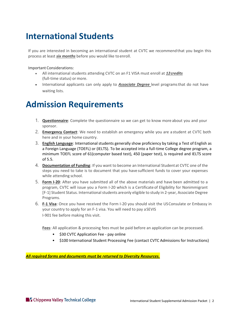### **International Students**

 If you are interested in becoming an international student at CVTC we recommend that you begin this process at least *six months* before you would like to enroll.

Important Considerations:

- All international students attending CVTC on an F1 VISA must enroll at *12credits*  (full-time status) or more.
- • International applicants can only apply to *Associate Degree* level programs that do not have waiting lists.

### **Admission Requirements**

- 1. **Questionnaire**: Complete the questionnaire so we can get to know more about you and your sponsor.
- 2. **Emergency Contact**: We need to establish an emergency while you are a student at CVTC both here and in your home country.
- 3. **English Language**: International students generally show proficiency by taking a Test of English as minimum TOEFL score of 61(computer based test), 450 (paper test), is required and IELTS score a Foreign Language (TOEFL) or (IELTS). To be accepted into a full-time College degree program, a of 5.5.
- 4. **Documentation of Funding**: If you want to become an International Student at CVTC one of the steps you need to take is to document that you have sufficient funds to cover your expenses while attending school.
- 5. **Form I-20**: After you have submitted all of the above materials and have been admitted to a program, CVTC will issue you a Form I-20 which is a Certificate of Eligibility for Nonimmigrant [F-1] Student Status. International students areonly eligible to study in 2-year, Associate Degree Programs.
- 6. **F-1 Visa**: Once you have received the Form I-20 you should visit the USConsulate or Embassy in your country to apply for an F-1 visa. You will need to pay aSEVIS I-901 fee before making this visit.

**Fees**: All application & processing fees must be paid before an application can be processed.

- \$30 CVTC Application Fee pay online
- \$100 International Student Processing Fee (contact CVTC Admissions for Instructions)

*All required forms and documents must be returned to Diversity Resources.*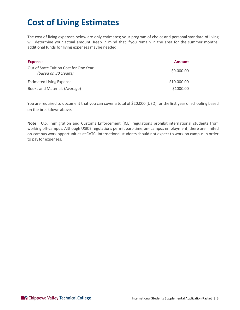# **Cost of Living Estimates**

 The cost of living expenses below are only estimates; your program of choice and personal standard of living will determine your actual amount. Keep in mind that ifyou remain in the area for the summer months, additional funds for living expenses maybe needed.

| <b>Expense</b>                                                  | <b>Amount</b> |
|-----------------------------------------------------------------|---------------|
| Out of State Tuition Cost for One Year<br>(based on 30 credits) | \$9,000.00    |
| <b>Estimated Living Expense</b>                                 | \$10,000.00   |
| Books and Materials (Average)                                   | \$1000.00     |

You are required to document that you can cover a total of \$20,000 (USD) for thefirst year of schooling based on the breakdown above.

 **Note**: U.S. Immigration and Customs Enforcement (ICE) regulations prohibit international students from working off-campus. Although USICE regulations permit part-time,on- campus employment, there are limited on-campus work opportunities at CVTC. International students should not expect to work on campus in order to pay for expenses.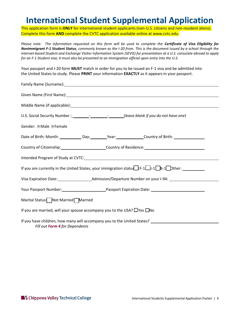### **International Student Supplemental Application**

This application form is **ONLY** for international student applicants (non-U.S. citizens and non-resident aliens). Complete this form **AND** complete the CVTC application available online at <www.cvtc.edu>.

 *Please note: The information requested on this form will be used to complete the Certificate of Visa Eligibility for Nonimmigrant F-1 Student Status, commonly known as the I-20 from. This is the document issued by a school through the internet-based Student and Exchange Visitor Information System (SEVIS) for presentation at a U.S. consulate abroad to apply for an F-1 Student visa; it must also be presented to an immigration official upon entry into the U.S.* 

 Your passport and I-20 form **MUST** match in order for you to be issued an F-1 visa and be admitted into the United States to study. Please **PRINT** your information **EXACTLY** as it appears in your passport.

| Given Name (First Name): 1998 Contract Contract Contract Contract Contract Contract Contract Contract Contract Contract Contract Contract Contract Contract Contract Contract Contract Contract Contract Contract Contract Con |
|--------------------------------------------------------------------------------------------------------------------------------------------------------------------------------------------------------------------------------|
|                                                                                                                                                                                                                                |
| U.S. Social Security Number :____________________________(leave blank if you do not have one)                                                                                                                                  |
| Gender: 2 Male 2 Female                                                                                                                                                                                                        |
| Date of Birth: Month: _____________Day: __________Year: _______________Country of Birth: ____________________                                                                                                                  |
|                                                                                                                                                                                                                                |
|                                                                                                                                                                                                                                |
| If you are currently in the United States, your immigration status $\Box$ F-1 $\Box$ -1 $\Box$ B-1 $\Box$ Other:                                                                                                               |
|                                                                                                                                                                                                                                |
|                                                                                                                                                                                                                                |
| Marital Status: Not Married Married                                                                                                                                                                                            |
| If you are married, will your spouse accompany you to the USA? $\Box$ Yes $\Box$ No                                                                                                                                            |
| If you have children, how many will accompany you to the United States? The manuscription of the United States<br>Fill out Form 4 for Dependents                                                                               |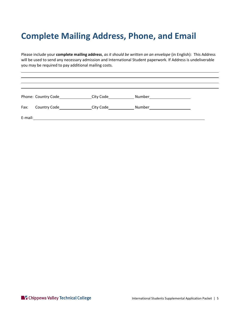# **Complete Mailing Address, Phone, and Email**

 Please include your **complete mailing address**, *as it should be written on an envelope* (in English): This Address will be used to send any necessary admission and International Student paperwork. If Address is undeliverable you may be required to pay additional mailing costs.

|         | Phone: Country Code | City Code | Number |  |
|---------|---------------------|-----------|--------|--|
| Fax:    | <b>Country Code</b> | City Code | Number |  |
| E-mail: |                     |           |        |  |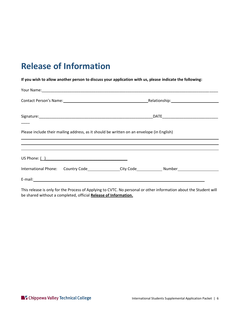# **Release of Information**

 **If you wish to allow another person to discuss your application with us, please indicate the following:** 

|  | Contact Person's Name: 1997                                                                          |  |
|--|------------------------------------------------------------------------------------------------------|--|
|  |                                                                                                      |  |
|  | Please include their mailing address, as it should be written on an envelope (in English)            |  |
|  |                                                                                                      |  |
|  |                                                                                                      |  |
|  | International Phone: Country Code_______________City Code_______________Number______________________ |  |
|  |                                                                                                      |  |

This release is only for the Process of Applying to CVTC. No personal or other information about the Student will be shared without a completed, official **Release of Information.**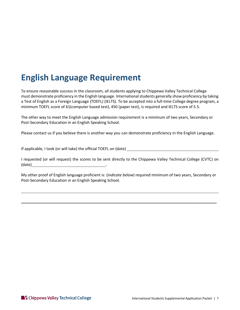# **English Language Requirement**

To ensure reasonable success in the classroom, all students applying to Chippewa Valley Technical College must demonstrate proficiency in the English language. International students generally show proficiency by taking a Test of English as a Foreign Language (TOEFL) (IELTS). To be accepted into a full-time College degree program, a minimum TOEFL score of 61(computer based test), 450 (paper test), is required and IELTS score of 5.5.

The other way to meet the English Language admission requirement is a minimum of two years, Secondary or Post-Secondary Education in an English Speaking School.

Please contact us if you believe there is another way you can demonstrate proficiency in the English Language.

If applicable, I took (or will take) the official TOEFL on (date)

 I requested (or will request) the scores to be sent directly to the Chippewa Valley Technical College (CVTC) on (date) <u>\_\_\_\_\_\_\_\_\_\_\_\_\_\_\_\_\_\_\_\_\_\_\_\_\_\_\_\_\_\_\_\_</u>

My other proof of English language proficient is: (*indicate below*) required minimum of two years, Secondary or Post-Secondary Education in an English Speaking School.

**\_\_\_\_\_\_\_\_\_\_\_\_\_\_\_\_\_\_\_\_\_\_\_\_\_\_\_\_\_\_\_\_\_\_\_\_\_\_\_\_\_\_\_\_\_\_\_\_\_\_\_\_\_\_\_\_\_\_\_\_\_\_\_\_\_\_\_\_\_\_\_\_\_\_\_\_\_\_\_\_\_\_\_\_\_\_\_\_\_\_\_**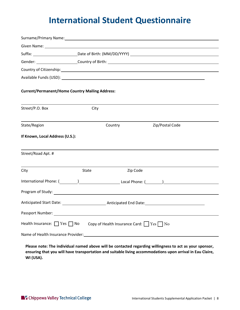# **International Student Questionnaire**

|                                                        |       |          | Surname/Primary Name: 1999 Manual Communication of the Communication of the Communication of the Communication |  |
|--------------------------------------------------------|-------|----------|----------------------------------------------------------------------------------------------------------------|--|
|                                                        |       |          |                                                                                                                |  |
|                                                        |       |          |                                                                                                                |  |
|                                                        |       |          | Gender: Country of Birth: Country of Birth:                                                                    |  |
|                                                        |       |          |                                                                                                                |  |
|                                                        |       |          |                                                                                                                |  |
| <b>Current/Permanent/Home Country Mailing Address:</b> |       |          |                                                                                                                |  |
| Street/P.O. Box                                        | City  |          |                                                                                                                |  |
| State/Region                                           |       | Country  | Zip/Postal Code                                                                                                |  |
| If Known, Local Address (U.S.):                        |       |          |                                                                                                                |  |
| Street/Road Apt. #                                     |       |          |                                                                                                                |  |
| City                                                   | State | Zip Code |                                                                                                                |  |
|                                                        |       |          |                                                                                                                |  |
|                                                        |       |          |                                                                                                                |  |
|                                                        |       |          |                                                                                                                |  |
|                                                        |       |          |                                                                                                                |  |
| Health Insurance: $\Box$ Yes $\Box$ No                 |       |          | Copy of Health Insurance Card: Ves No                                                                          |  |
|                                                        |       |          |                                                                                                                |  |

 **Please note: The individual named above will be contacted regarding willingness to act as your sponsor, ensuring that you will have transportation and suitable living accommodations upon arrival in Eau Claire, WI (USA).**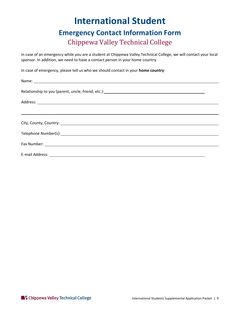#### **International Student Emergency Contact Information Form**  Chippewa Valley Technical College

In case of an emergency while you are a student at Chippewa Valley Technical College, we will contact your local sponsor. In addition, we need to have a contact person in your home country.

In case of emergency, please tell us who we should contact in your **home country**:

| Relationship to you (parent, uncle, friend, etc.): \\ead \\ead \\ead \\ead \\ead \\ead \\ead \\ead \\ead \\ead                                                                                                                |  |
|-------------------------------------------------------------------------------------------------------------------------------------------------------------------------------------------------------------------------------|--|
|                                                                                                                                                                                                                               |  |
|                                                                                                                                                                                                                               |  |
| City, County, Country: 1999. The Country of the City of the Country of the City of the Country of the Country of the Country of the Country of the Country of the Country of the Country of the Country of the Country of the |  |
|                                                                                                                                                                                                                               |  |
|                                                                                                                                                                                                                               |  |
|                                                                                                                                                                                                                               |  |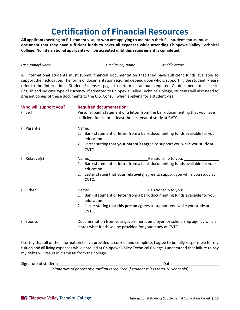# **Certification of Financial Resources**

 **document that they have sufficient funds to cover all expenses while attending Chippewa Valley Technical College. No international applicants will be accepted until this requirement is completed. All applicants seeking an F-1 student visa, or who are applying to maintain their F-1 student status, must** 

*Last (family) Name First (given) Name Middle Name* 

 All international students must submit financial documentation that they have sufficient funds available to support their education. The forms of documentation required depend upon who is supporting the student. Please refer to the 'International Student Expenses' page, to determine amount required. All documents must be in English and indicate type of currency. If admitted to Chippewa Valley Technical College, students will also need to present copies of these documents to the U.S. Consul, when applying for a student visa.

| Who will support you?<br>$()$ Self | <b>Required documentation:</b><br>Personal bank statement or a letter from the bank documenting that you have<br>sufficient funds for at least the first year of study at CVTC.                                                |  |
|------------------------------------|--------------------------------------------------------------------------------------------------------------------------------------------------------------------------------------------------------------------------------|--|
| $()$ Parent $(s)$                  | Name: Name and the second state of the second state of the second state of the second state of the second state of the second state of the second state of the second state of the second state of the second state of the sec |  |
|                                    | 1. Bank statement or letter from a bank documenting funds available for your<br>education.                                                                                                                                     |  |
|                                    | 2. Letter stating that your parent(s) agree to support you while you study at<br>CVTC.                                                                                                                                         |  |
| () Relative(s)                     | Name: Name: Name: Name: Name: Name: Name: Name: Name: Name: Name: Name of Name of Name of Name of Name of Name of Name of Name of Name of Name of Name of Name of Name of Name of Name of Name of Name of Name of Name of Name |  |
|                                    | 1. Bank statement or letter from a bank documenting funds available for your<br>education.                                                                                                                                     |  |
|                                    | 2. Letter stating that your relative(s) agree to support you while you study at<br>CVTC.                                                                                                                                       |  |
| () Other                           | Name: Name: Name: Name: Name: Name: Name: Name: Name: Name: Name: Name: Name of Name of Name of Name of Name o                                                                                                                 |  |
|                                    | 1. Bank statement or letter from a bank documenting funds available for your<br>education.                                                                                                                                     |  |
|                                    | 2. Letter stating that this person agrees to support you while you study at<br>CVTC.                                                                                                                                           |  |
| () Sponsor                         | Documentation from your government, employer, or scholarship agency which<br>states what funds will be provided for your study at CVTC.                                                                                        |  |

 I certify that all of the information I have provided is correct and complete. I agree to be fully responsible for my tuition and all living expenses while enrolled at Chippewa Valley Technical College. I understand that failure to pay my debts will result in dismissal from the college.

Signature of student:  $\Box$  Date:  $\Box$  Date:  $\Box$  Date:  $\Box$ 

(*Signature of parent or guardian is required if student is less than 18 years old*)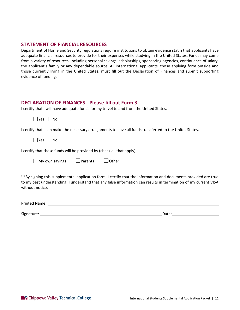#### **STATEMENT OF FIANCIAL RESOURCES**

 Department of Homeland Security regulations require institutions to obtain evidence statin that applicants have adequate financial resources to provide for their expenses while studying in the United States. Funds may come from a variety of resources, including personal savings, scholarships, sponsoring agencies, continuance of salary, the applicant's family or any dependable source. All international applicants, those applying form outside and those currently living in the United States, must fill out the Declaration of Finances and submit supporting evidence of funding.

#### **DECLARATION OF FINANCES - Please fill out Form 3**

I certify that I will have adequate funds for my travel to and from the United States.

 $\Box$ Yes  $\Box$ No

I certify that I can make the necessary arraignments to have all funds transferred to the Unites States.

\_|Yes |\_\_|No

I certify that these funds will be provided by (check all that apply):

111 111 111 My own savings Parents Other \_\_\_\_\_\_\_\_\_\_\_\_\_\_\_\_\_\_\_\_\_\_\_

 \*\*By signing this supplemental application form, I certify that the information and documents provided are true to my best understanding. I understand that any false information can results in termination of my current VISA without notice.

| Printed Name: |  |
|---------------|--|
|               |  |

Signature: Note: Note: Note: Note: Note: Note: Note: Note: Note: Note: Note: Note: Note: Note: Note: Note: Note: Note: Note: Note: Note: Note: Note: Note: Note: Note: Note: Note: Note: Note: Note: Note: Note: Note: Note: N